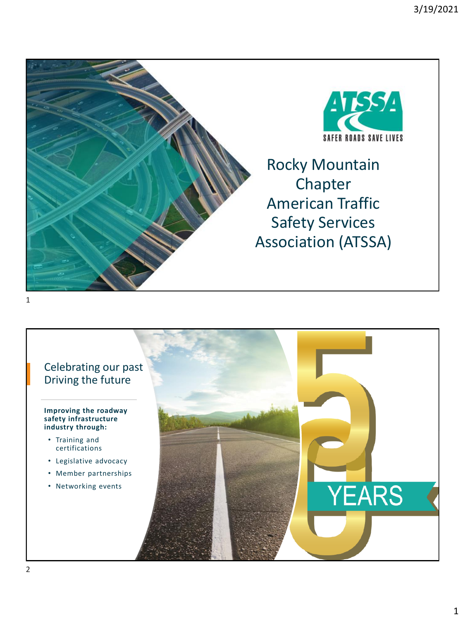

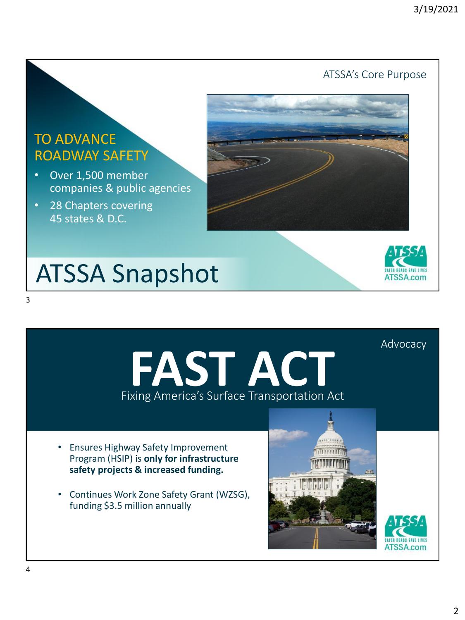ATSSA's Core Purpose

#### TO ADVANCE ROADWAY SAFETY

- Over 1,500 member companies & public agencies
- 28 Chapters covering 45 states & D.C.

## ATSSA Snapshot



Advocacy

## **FAST ACT** Fixing America's Surface Transportation Act

- Ensures Highway Safety Improvement Program (HSIP) is **only for infrastructure safety projects & increased funding.**
- Continues Work Zone Safety Grant (WZSG), funding \$3.5 million annually





4

3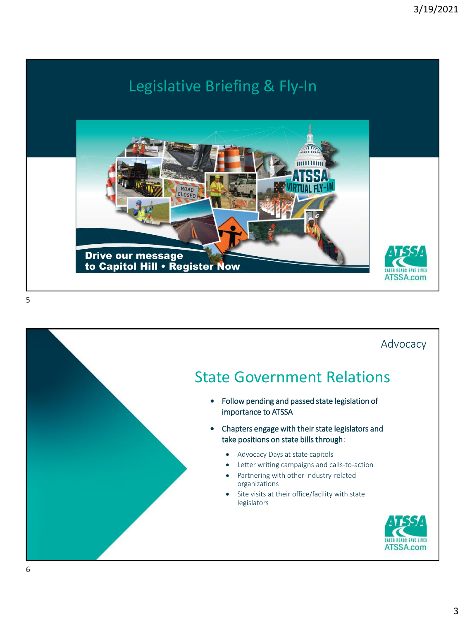### Legislative Briefing & Fly-In



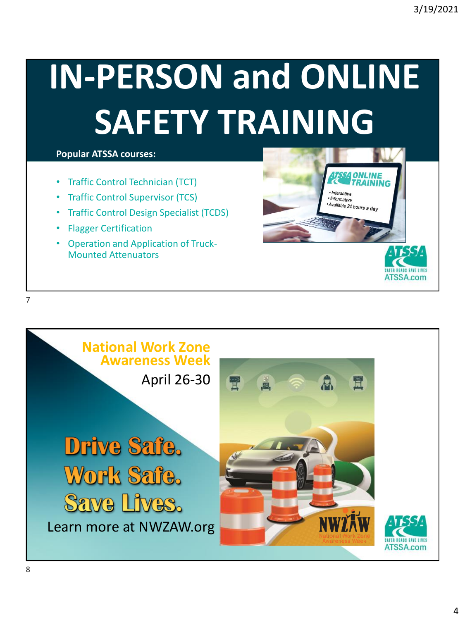# **IN-PERSON and ONLINE SAFETY TRAINING**

#### **Popular ATSSA courses:**

- Traffic Control Technician (TCT)
- Traffic Control Supervisor (TCS)
- Traffic Control Design Specialist (TCDS)
- Flagger Certification
- Operation and Application of Truck-Mounted Attenuators